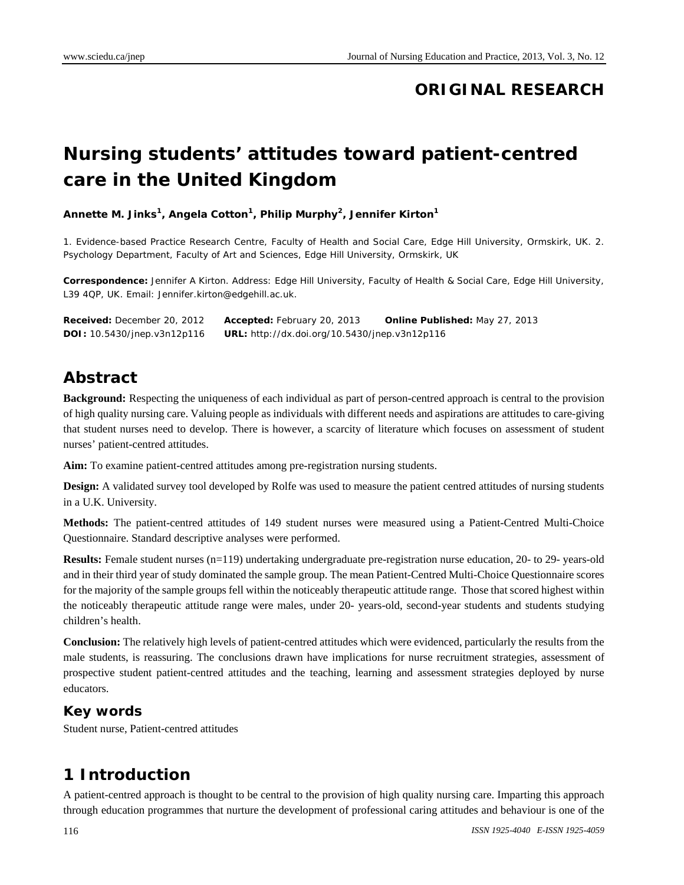## **ORIGINAL RESEARCH**

# **Nursing students' attitudes toward patient-centred care in the United Kingdom**

#### Annette M. Jinks<sup>1</sup>, Angela Cotton<sup>1</sup>, Philip Murphy<sup>2</sup>, Jennifer Kirton<sup>1</sup>

1. Evidence-based Practice Research Centre, Faculty of Health and Social Care, Edge Hill University, Ormskirk, UK. 2. Psychology Department, Faculty of Art and Sciences, Edge Hill University, Ormskirk, UK

**Correspondence:** Jennifer A Kirton. Address: Edge Hill University, Faculty of Health & Social Care, Edge Hill University, L39 4QP, UK. Email: Jennifer.kirton@edgehill.ac.uk.

**Received:** December 20, 2012 **Accepted:** February 20, 2013 **Online Published:** May 27, 2013 **DOI:** 10.5430/jnep.v3n12p116 **URL:** http://dx.doi.org/10.5430/jnep.v3n12p116

## **Abstract**

**Background:** Respecting the uniqueness of each individual as part of person-centred approach is central to the provision of high quality nursing care. Valuing people as individuals with different needs and aspirations are attitudes to care-giving that student nurses need to develop. There is however, a scarcity of literature which focuses on assessment of student nurses' patient-centred attitudes.

**Aim:** To examine patient-centred attitudes among pre-registration nursing students.

**Design:** A validated survey tool developed by Rolfe was used to measure the patient centred attitudes of nursing students in a U.K. University.

**Methods:** The patient-centred attitudes of 149 student nurses were measured using a Patient-Centred Multi-Choice Questionnaire. Standard descriptive analyses were performed.

**Results:** Female student nurses (n=119) undertaking undergraduate pre-registration nurse education, 20- to 29- years-old and in their third year of study dominated the sample group. The mean Patient-Centred Multi-Choice Questionnaire scores for the majority of the sample groups fell within the noticeably therapeutic attitude range. Those that scored highest within the noticeably therapeutic attitude range were males, under 20- years-old, second-year students and students studying children's health.

**Conclusion:** The relatively high levels of patient-centred attitudes which were evidenced, particularly the results from the male students, is reassuring. The conclusions drawn have implications for nurse recruitment strategies, assessment of prospective student patient-centred attitudes and the teaching, learning and assessment strategies deployed by nurse educators.

#### **Key words**

Student nurse, Patient-centred attitudes

## **1 Introduction**

A patient-centred approach is thought to be central to the provision of high quality nursing care. Imparting this approach through education programmes that nurture the development of professional caring attitudes and behaviour is one of the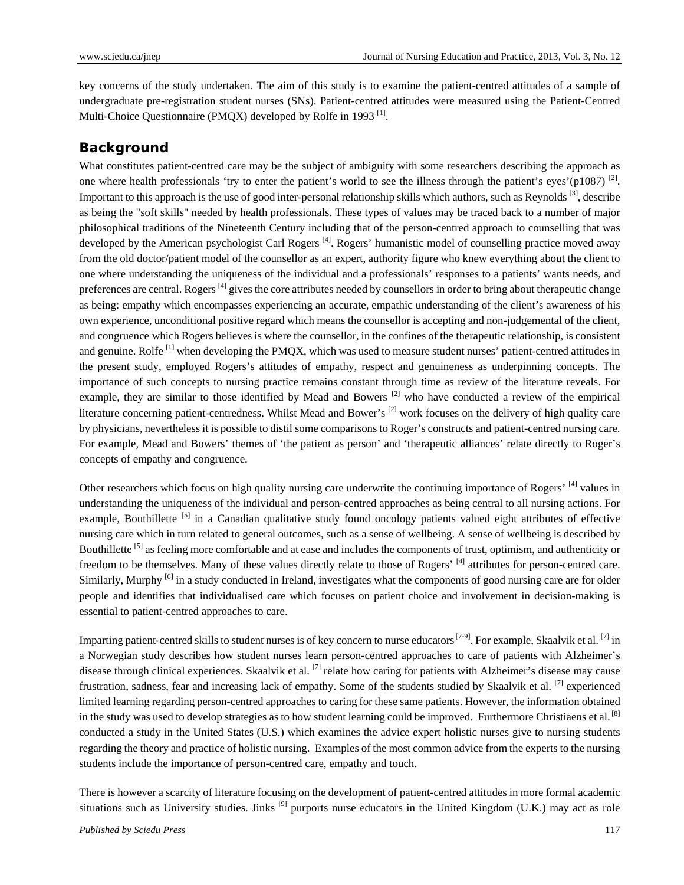key concerns of the study undertaken. The aim of this study is to examine the patient-centred attitudes of a sample of undergraduate pre-registration student nurses (SNs). Patient-centred attitudes were measured using the Patient-Centred Multi-Choice Questionnaire (PMQX) developed by Rolfe in 1993<sup>[1]</sup>.

#### **Background**

What constitutes patient-centred care may be the subject of ambiguity with some researchers describing the approach as one where health professionals 'try to enter the patient's world to see the illness through the patient's eyes'(p1087)  $^{[2]}$ . Important to this approach is the use of good inter-personal relationship skills which authors, such as Reynolds <sup>[3]</sup>, describe as being the "soft skills" needed by health professionals. These types of values may be traced back to a number of major philosophical traditions of the Nineteenth Century including that of the person-centred approach to counselling that was developed by the American psychologist Carl Rogers <sup>[4]</sup>. Rogers' humanistic model of counselling practice moved away from the old doctor/patient model of the counsellor as an expert, authority figure who knew everything about the client to one where understanding the uniqueness of the individual and a professionals' responses to a patients' wants needs, and preferences are central. Rogers<sup>[4]</sup> gives the core attributes needed by counsellors in order to bring about therapeutic change as being: empathy which encompasses experiencing an accurate, empathic understanding of the client's awareness of his own experience, unconditional positive regard which means the counsellor is accepting and non-judgemental of the client, and congruence which Rogers believes is where the counsellor, in the confines of the therapeutic relationship, is consistent and genuine. Rolfe<sup>[1]</sup> when developing the PMQX, which was used to measure student nurses' patient-centred attitudes in the present study, employed Rogers's attitudes of empathy, respect and genuineness as underpinning concepts. The importance of such concepts to nursing practice remains constant through time as review of the literature reveals. For example, they are similar to those identified by Mead and Bowers  $^{[2]}$  who have conducted a review of the empirical literature concerning patient-centredness. Whilst Mead and Bower's [2] work focuses on the delivery of high quality care by physicians, nevertheless it is possible to distil some comparisons to Roger's constructs and patient-centred nursing care. For example, Mead and Bowers' themes of 'the patient as person' and 'therapeutic alliances' relate directly to Roger's concepts of empathy and congruence.

Other researchers which focus on high quality nursing care underwrite the continuing importance of Rogers' [4] values in understanding the uniqueness of the individual and person-centred approaches as being central to all nursing actions. For example, Bouthillette <sup>[5]</sup> in a Canadian qualitative study found oncology patients valued eight attributes of effective nursing care which in turn related to general outcomes, such as a sense of wellbeing. A sense of wellbeing is described by Bouthillette <sup>[5]</sup> as feeling more comfortable and at ease and includes the components of trust, optimism, and authenticity or freedom to be themselves. Many of these values directly relate to those of Rogers' [4] attributes for person-centred care. Similarly, Murphy  $\left[6\right]$  in a study conducted in Ireland, investigates what the components of good nursing care are for older people and identifies that individualised care which focuses on patient choice and involvement in decision-making is essential to patient-centred approaches to care.

Imparting patient-centred skills to student nurses is of key concern to nurse educators [7-9]. For example, Skaalvik et al. [7] in a Norwegian study describes how student nurses learn person-centred approaches to care of patients with Alzheimer's disease through clinical experiences. Skaalvik et al. [7] relate how caring for patients with Alzheimer's disease may cause frustration, sadness, fear and increasing lack of empathy. Some of the students studied by Skaalvik et al. [7] experienced limited learning regarding person-centred approaches to caring for these same patients. However, the information obtained in the study was used to develop strategies as to how student learning could be improved. Furthermore Christiaens et al. <sup>[8]</sup> conducted a study in the United States (U.S.) which examines the advice expert holistic nurses give to nursing students regarding the theory and practice of holistic nursing. Examples of the most common advice from the experts to the nursing students include the importance of person-centred care, empathy and touch.

There is however a scarcity of literature focusing on the development of patient-centred attitudes in more formal academic situations such as University studies. Jinks  $\left[9\right]$  purports nurse educators in the United Kingdom (U.K.) may act as role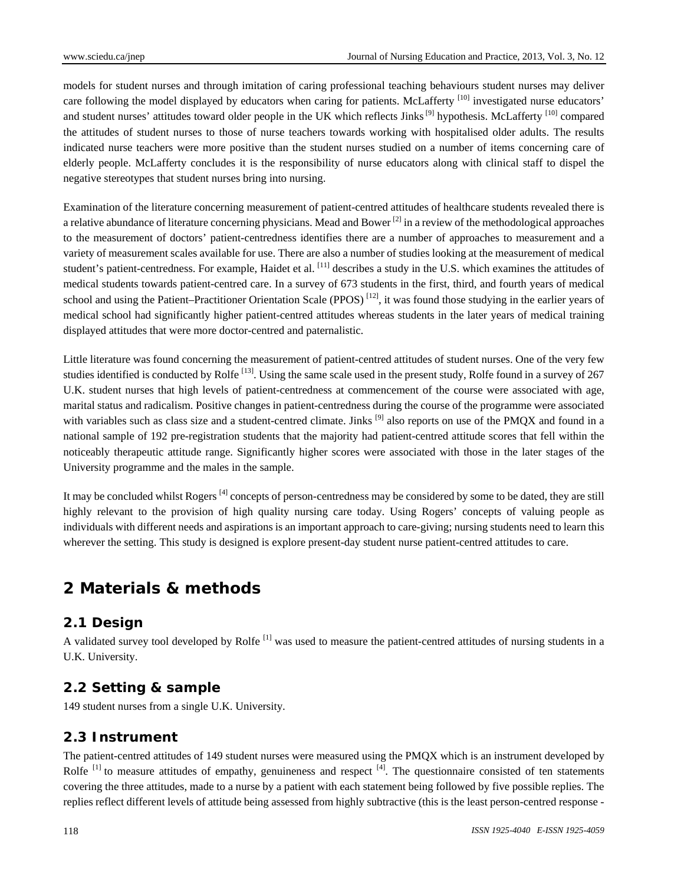models for student nurses and through imitation of caring professional teaching behaviours student nurses may deliver care following the model displayed by educators when caring for patients. McLafferty [10] investigated nurse educators' and student nurses' attitudes toward older people in the UK which reflects Jinks<sup>[9]</sup> hypothesis. McLafferty <sup>[10]</sup> compared the attitudes of student nurses to those of nurse teachers towards working with hospitalised older adults. The results indicated nurse teachers were more positive than the student nurses studied on a number of items concerning care of elderly people. McLafferty concludes it is the responsibility of nurse educators along with clinical staff to dispel the negative stereotypes that student nurses bring into nursing.

Examination of the literature concerning measurement of patient-centred attitudes of healthcare students revealed there is a relative abundance of literature concerning physicians. Mead and Bower  $^{[2]}$  in a review of the methodological approaches to the measurement of doctors' patient-centredness identifies there are a number of approaches to measurement and a variety of measurement scales available for use. There are also a number of studies looking at the measurement of medical student's patient-centredness. For example, Haidet et al.  $^{[11]}$  describes a study in the U.S. which examines the attitudes of medical students towards patient-centred care. In a survey of 673 students in the first, third, and fourth years of medical school and using the Patient–Practitioner Orientation Scale (PPOS)  $^{[12]}$ , it was found those studying in the earlier years of medical school had significantly higher patient-centred attitudes whereas students in the later years of medical training displayed attitudes that were more doctor-centred and paternalistic.

Little literature was found concerning the measurement of patient-centred attitudes of student nurses. One of the very few studies identified is conducted by Rolfe  $^{[13]}$ . Using the same scale used in the present study, Rolfe found in a survey of 267 U.K. student nurses that high levels of patient-centredness at commencement of the course were associated with age, marital status and radicalism. Positive changes in patient-centredness during the course of the programme were associated with variables such as class size and a student-centred climate. Jinks  $\left[9\right]$  also reports on use of the PMQX and found in a national sample of 192 pre-registration students that the majority had patient-centred attitude scores that fell within the noticeably therapeutic attitude range. Significantly higher scores were associated with those in the later stages of the University programme and the males in the sample.

It may be concluded whilst Rogers  $^{[4]}$  concepts of person-centredness may be considered by some to be dated, they are still highly relevant to the provision of high quality nursing care today. Using Rogers' concepts of valuing people as individuals with different needs and aspirations is an important approach to care-giving; nursing students need to learn this wherever the setting. This study is designed is explore present-day student nurse patient-centred attitudes to care.

## **2 Materials & methods**

#### **2.1 Design**

A validated survey tool developed by Rolfe<sup>[1]</sup> was used to measure the patient-centred attitudes of nursing students in a U.K. University.

## **2.2 Setting & sample**

149 student nurses from a single U.K. University.

#### **2.3 Instrument**

The patient-centred attitudes of 149 student nurses were measured using the PMQX which is an instrument developed by Rolfe  $^{[1]}$  to measure attitudes of empathy, genuineness and respect  $^{[4]}$ . The questionnaire consisted of ten statements covering the three attitudes, made to a nurse by a patient with each statement being followed by five possible replies. The replies reflect different levels of attitude being assessed from highly subtractive (this is the least person-centred response -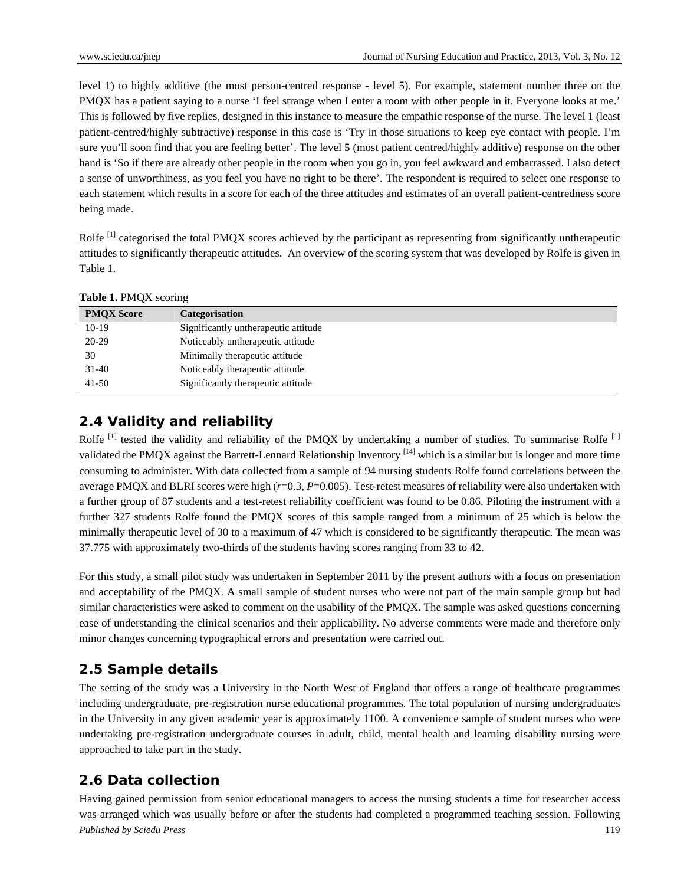level 1) to highly additive (the most person-centred response - level 5). For example, statement number three on the PMQX has a patient saying to a nurse 'I feel strange when I enter a room with other people in it. Everyone looks at me.' This is followed by five replies, designed in this instance to measure the empathic response of the nurse. The level 1 (least patient-centred/highly subtractive) response in this case is 'Try in those situations to keep eye contact with people. I'm sure you'll soon find that you are feeling better'. The level 5 (most patient centred/highly additive) response on the other hand is 'So if there are already other people in the room when you go in, you feel awkward and embarrassed. I also detect a sense of unworthiness, as you feel you have no right to be there'. The respondent is required to select one response to each statement which results in a score for each of the three attitudes and estimates of an overall patient-centredness score being made.

Rolfe  $^{[1]}$  categorised the total PMOX scores achieved by the participant as representing from significantly untherapeutic attitudes to significantly therapeutic attitudes. An overview of the scoring system that was developed by Rolfe is given in Table 1.

| <b>PMQX Score</b> | Categorisation                       |
|-------------------|--------------------------------------|
| $10-19$           | Significantly untherapeutic attitude |
| $20-29$           | Noticeably untherapeutic attitude    |
| 30                | Minimally therapeutic attitude       |
| $31 - 40$         | Noticeably therapeutic attitude      |
| $41 - 50$         | Significantly therapeutic attitude   |

**Table 1.** PMQX scoring

### **2.4 Validity and reliability**

Rolfe<sup>[1]</sup> tested the validity and reliability of the PMQX by undertaking a number of studies. To summarise Rolfe<sup>[1]</sup> validated the PMQX against the Barrett-Lennard Relationship Inventory <sup>[14]</sup> which is a similar but is longer and more time consuming to administer. With data collected from a sample of 94 nursing students Rolfe found correlations between the average PMQX and BLRI scores were high ( $r=0.3$ ,  $P=0.005$ ). Test-retest measures of reliability were also undertaken with a further group of 87 students and a test-retest reliability coefficient was found to be 0.86. Piloting the instrument with a further 327 students Rolfe found the PMQX scores of this sample ranged from a minimum of 25 which is below the minimally therapeutic level of 30 to a maximum of 47 which is considered to be significantly therapeutic. The mean was 37.775 with approximately two-thirds of the students having scores ranging from 33 to 42.

For this study, a small pilot study was undertaken in September 2011 by the present authors with a focus on presentation and acceptability of the PMQX. A small sample of student nurses who were not part of the main sample group but had similar characteristics were asked to comment on the usability of the PMQX. The sample was asked questions concerning ease of understanding the clinical scenarios and their applicability. No adverse comments were made and therefore only minor changes concerning typographical errors and presentation were carried out.

#### **2.5 Sample details**

The setting of the study was a University in the North West of England that offers a range of healthcare programmes including undergraduate, pre-registration nurse educational programmes. The total population of nursing undergraduates in the University in any given academic year is approximately 1100. A convenience sample of student nurses who were undertaking pre-registration undergraduate courses in adult, child, mental health and learning disability nursing were approached to take part in the study.

#### **2.6 Data collection**

*Published by Sciedu Press* 119 Having gained permission from senior educational managers to access the nursing students a time for researcher access was arranged which was usually before or after the students had completed a programmed teaching session. Following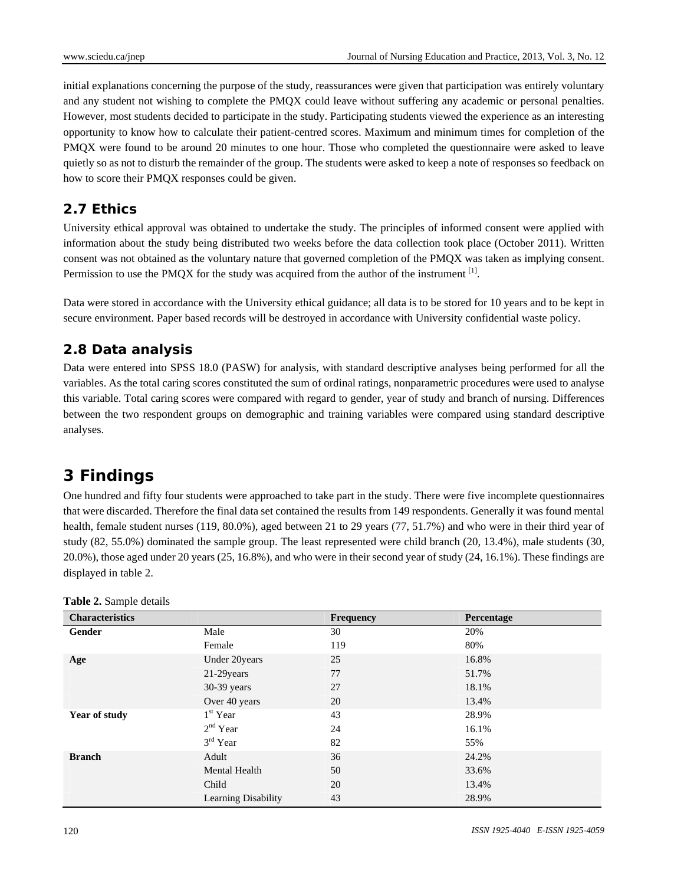initial explanations concerning the purpose of the study, reassurances were given that participation was entirely voluntary and any student not wishing to complete the PMQX could leave without suffering any academic or personal penalties. However, most students decided to participate in the study. Participating students viewed the experience as an interesting opportunity to know how to calculate their patient-centred scores. Maximum and minimum times for completion of the PMQX were found to be around 20 minutes to one hour. Those who completed the questionnaire were asked to leave quietly so as not to disturb the remainder of the group. The students were asked to keep a note of responses so feedback on how to score their PMQX responses could be given.

## **2.7 Ethics**

University ethical approval was obtained to undertake the study. The principles of informed consent were applied with information about the study being distributed two weeks before the data collection took place (October 2011). Written consent was not obtained as the voluntary nature that governed completion of the PMQX was taken as implying consent. Permission to use the PMOX for the study was acquired from the author of the instrument  $^{[1]}$ .

Data were stored in accordance with the University ethical guidance; all data is to be stored for 10 years and to be kept in secure environment. Paper based records will be destroyed in accordance with University confidential waste policy.

## **2.8 Data analysis**

Data were entered into SPSS 18.0 (PASW) for analysis, with standard descriptive analyses being performed for all the variables. As the total caring scores constituted the sum of ordinal ratings, nonparametric procedures were used to analyse this variable. Total caring scores were compared with regard to gender, year of study and branch of nursing. Differences between the two respondent groups on demographic and training variables were compared using standard descriptive analyses.

# **3 Findings**

One hundred and fifty four students were approached to take part in the study. There were five incomplete questionnaires that were discarded. Therefore the final data set contained the results from 149 respondents. Generally it was found mental health, female student nurses (119, 80.0%), aged between 21 to 29 years (77, 51.7%) and who were in their third year of study (82, 55.0%) dominated the sample group. The least represented were child branch (20, 13.4%), male students (30, 20.0%), those aged under 20 years (25, 16.8%), and who were in their second year of study (24, 16.1%). These findings are displayed in table 2.

| <b>Characteristics</b> |                      | Frequency | Percentage |
|------------------------|----------------------|-----------|------------|
| Gender                 | Male                 | 30        | 20%        |
|                        | Female               | 119       | 80%        |
| Age                    | Under 20 years       | 25        | 16.8%      |
|                        | 21-29 years          | 77        | 51.7%      |
|                        | 30-39 years          | 27        | 18.1%      |
|                        | Over 40 years        | 20        | 13.4%      |
| Year of study          | 1 <sup>st</sup> Year | 43        | 28.9%      |
|                        | $2nd$ Year           | 24        | 16.1%      |
|                        | $3rd$ Year           | 82        | 55%        |
| <b>Branch</b>          | Adult                | 36        | 24.2%      |
|                        | Mental Health        | 50        | 33.6%      |
|                        | Child                | 20        | 13.4%      |
|                        | Learning Disability  | 43        | 28.9%      |

#### **Table 2.** Sample details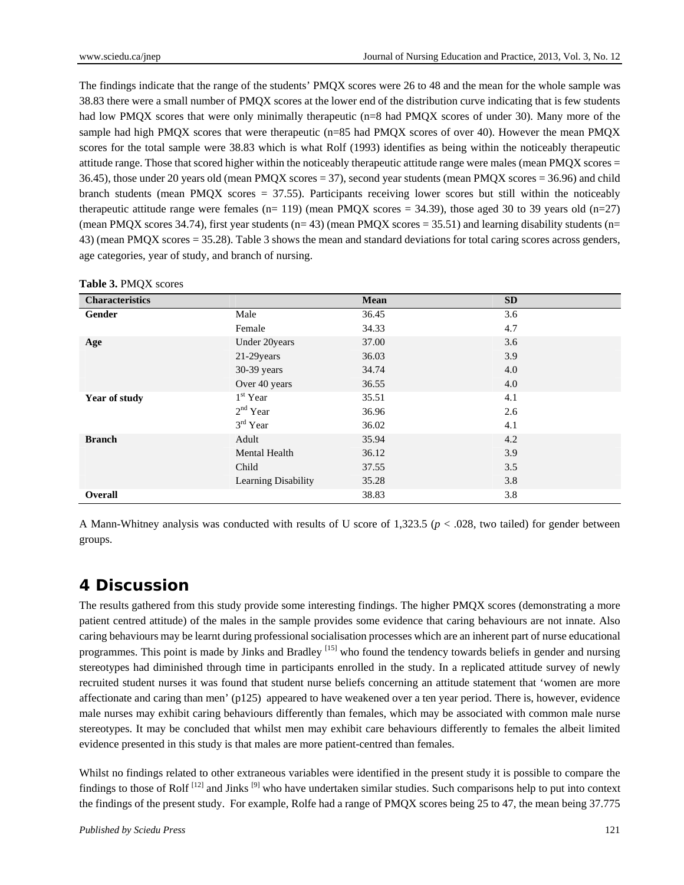The findings indicate that the range of the students' PMQX scores were 26 to 48 and the mean for the whole sample was 38.83 there were a small number of PMQX scores at the lower end of the distribution curve indicating that is few students had low PMQX scores that were only minimally therapeutic (n=8 had PMQX scores of under 30). Many more of the sample had high PMQX scores that were therapeutic (n=85 had PMQX scores of over 40). However the mean PMQX scores for the total sample were 38.83 which is what Rolf (1993) identifies as being within the noticeably therapeutic attitude range. Those that scored higher within the noticeably therapeutic attitude range were males (mean PMQX scores = 36.45), those under 20 years old (mean PMQX scores = 37), second year students (mean PMQX scores = 36.96) and child branch students (mean PMQX scores = 37.55). Participants receiving lower scores but still within the noticeably therapeutic attitude range were females (n= 119) (mean PMQX scores = 34.39), those aged 30 to 39 years old (n=27) (mean PMOX scores 34.74), first year students  $(n=43)$  (mean PMOX scores = 35.51) and learning disability students  $(n=$ 43) (mean PMQX scores = 35.28). Table 3 shows the mean and standard deviations for total caring scores across genders, age categories, year of study, and branch of nursing.

| <b>Characteristics</b> |                      | <b>Mean</b> | SD  |
|------------------------|----------------------|-------------|-----|
| Gender                 | Male                 | 36.45       | 3.6 |
|                        | Female               | 34.33       | 4.7 |
| Age                    | Under 20years        | 37.00       | 3.6 |
|                        | 21-29 years          | 36.03       | 3.9 |
|                        | $30-39$ years        | 34.74       | 4.0 |
|                        | Over 40 years        | 36.55       | 4.0 |
| <b>Year of study</b>   | $1st$ Year           | 35.51       | 4.1 |
|                        | $2nd$ Year           | 36.96       | 2.6 |
|                        | $3rd$ Year           | 36.02       | 4.1 |
| <b>Branch</b>          | Adult                | 35.94       | 4.2 |
|                        | <b>Mental Health</b> | 36.12       | 3.9 |
|                        | Child                | 37.55       | 3.5 |
|                        | Learning Disability  | 35.28       | 3.8 |
| Overall                |                      | 38.83       | 3.8 |

A Mann-Whitney analysis was conducted with results of U score of 1,323.5 (*p* < .028, two tailed) for gender between groups.

# **4 Discussion**

The results gathered from this study provide some interesting findings. The higher PMQX scores (demonstrating a more patient centred attitude) of the males in the sample provides some evidence that caring behaviours are not innate. Also caring behaviours may be learnt during professional socialisation processes which are an inherent part of nurse educational programmes. This point is made by Jinks and Bradley  $[15]$  who found the tendency towards beliefs in gender and nursing stereotypes had diminished through time in participants enrolled in the study. In a replicated attitude survey of newly recruited student nurses it was found that student nurse beliefs concerning an attitude statement that 'women are more affectionate and caring than men' (p125) appeared to have weakened over a ten year period. There is, however, evidence male nurses may exhibit caring behaviours differently than females, which may be associated with common male nurse stereotypes. It may be concluded that whilst men may exhibit care behaviours differently to females the albeit limited evidence presented in this study is that males are more patient-centred than females.

Whilst no findings related to other extraneous variables were identified in the present study it is possible to compare the findings to those of Rolf<sup> $[12]$ </sup> and Jinks<sup>[9]</sup> who have undertaken similar studies. Such comparisons help to put into context the findings of the present study. For example, Rolfe had a range of PMQX scores being 25 to 47, the mean being 37.775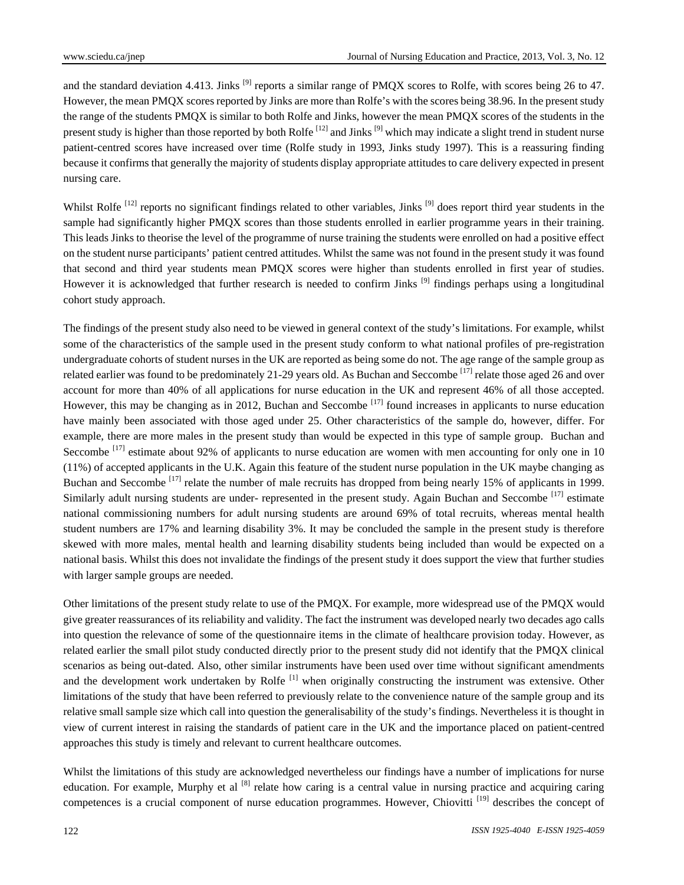and the standard deviation 4.413. Jinks  $^{[9]}$  reports a similar range of PMQX scores to Rolfe, with scores being 26 to 47. However, the mean PMQX scores reported by Jinks are more than Rolfe's with the scores being 38.96. In the present study the range of the students PMQX is similar to both Rolfe and Jinks, however the mean PMQX scores of the students in the present study is higher than those reported by both Rolfe<sup>[12]</sup> and Jinks<sup>[9]</sup> which may indicate a slight trend in student nurse patient-centred scores have increased over time (Rolfe study in 1993, Jinks study 1997). This is a reassuring finding because it confirms that generally the majority of students display appropriate attitudes to care delivery expected in present nursing care.

Whilst Rolfe<sup>[12]</sup> reports no significant findings related to other variables, Jinks<sup>[9]</sup> does report third year students in the sample had significantly higher PMQX scores than those students enrolled in earlier programme years in their training. This leads Jinks to theorise the level of the programme of nurse training the students were enrolled on had a positive effect on the student nurse participants' patient centred attitudes. Whilst the same was not found in the present study it was found that second and third year students mean PMQX scores were higher than students enrolled in first year of studies. However it is acknowledged that further research is needed to confirm Jinks <sup>[9]</sup> findings perhaps using a longitudinal cohort study approach.

The findings of the present study also need to be viewed in general context of the study's limitations. For example, whilst some of the characteristics of the sample used in the present study conform to what national profiles of pre-registration undergraduate cohorts of student nurses in the UK are reported as being some do not. The age range of the sample group as related earlier was found to be predominately 21-29 years old. As Buchan and Seccombe <sup>[17]</sup> relate those aged 26 and over account for more than 40% of all applications for nurse education in the UK and represent 46% of all those accepted. However, this may be changing as in 2012, Buchan and Seccombe<sup>[17]</sup> found increases in applicants to nurse education have mainly been associated with those aged under 25. Other characteristics of the sample do, however, differ. For example, there are more males in the present study than would be expected in this type of sample group. Buchan and Seccombe <sup>[17]</sup> estimate about 92% of applicants to nurse education are women with men accounting for only one in 10 (11%) of accepted applicants in the U.K. Again this feature of the student nurse population in the UK maybe changing as Buchan and Seccombe <sup>[17]</sup> relate the number of male recruits has dropped from being nearly 15% of applicants in 1999. Similarly adult nursing students are under- represented in the present study. Again Buchan and Seccombe  $[17]$  estimate national commissioning numbers for adult nursing students are around 69% of total recruits, whereas mental health student numbers are 17% and learning disability 3%. It may be concluded the sample in the present study is therefore skewed with more males, mental health and learning disability students being included than would be expected on a national basis. Whilst this does not invalidate the findings of the present study it does support the view that further studies with larger sample groups are needed.

Other limitations of the present study relate to use of the PMQX. For example, more widespread use of the PMQX would give greater reassurances of its reliability and validity. The fact the instrument was developed nearly two decades ago calls into question the relevance of some of the questionnaire items in the climate of healthcare provision today. However, as related earlier the small pilot study conducted directly prior to the present study did not identify that the PMQX clinical scenarios as being out-dated. Also, other similar instruments have been used over time without significant amendments and the development work undertaken by Rolfe  $^{[1]}$  when originally constructing the instrument was extensive. Other limitations of the study that have been referred to previously relate to the convenience nature of the sample group and its relative small sample size which call into question the generalisability of the study's findings. Nevertheless it is thought in view of current interest in raising the standards of patient care in the UK and the importance placed on patient-centred approaches this study is timely and relevant to current healthcare outcomes.

Whilst the limitations of this study are acknowledged nevertheless our findings have a number of implications for nurse education. For example, Murphy et al  $[8]$  relate how caring is a central value in nursing practice and acquiring caring competences is a crucial component of nurse education programmes. However, Chiovitti <sup>[19]</sup> describes the concept of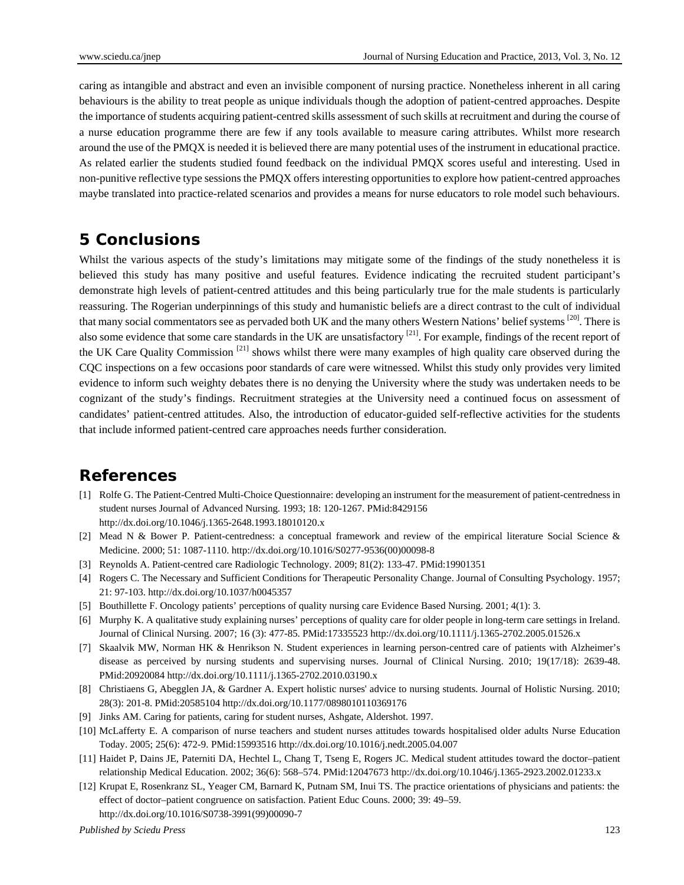caring as intangible and abstract and even an invisible component of nursing practice. Nonetheless inherent in all caring behaviours is the ability to treat people as unique individuals though the adoption of patient-centred approaches. Despite the importance of students acquiring patient-centred skills assessment of such skills at recruitment and during the course of a nurse education programme there are few if any tools available to measure caring attributes. Whilst more research around the use of the PMQX is needed it is believed there are many potential uses of the instrument in educational practice. As related earlier the students studied found feedback on the individual PMQX scores useful and interesting. Used in non-punitive reflective type sessions the PMQX offers interesting opportunities to explore how patient-centred approaches maybe translated into practice-related scenarios and provides a means for nurse educators to role model such behaviours.

## **5 Conclusions**

Whilst the various aspects of the study's limitations may mitigate some of the findings of the study nonetheless it is believed this study has many positive and useful features. Evidence indicating the recruited student participant's demonstrate high levels of patient-centred attitudes and this being particularly true for the male students is particularly reassuring. The Rogerian underpinnings of this study and humanistic beliefs are a direct contrast to the cult of individual that many social commentators see as pervaded both UK and the many others Western Nations' belief systems [20]. There is also some evidence that some care standards in the UK are unsatisfactory <sup>[21]</sup>. For example, findings of the recent report of the UK Care Quality Commission<sup>[21]</sup> shows whilst there were many examples of high quality care observed during the CQC inspections on a few occasions poor standards of care were witnessed. Whilst this study only provides very limited evidence to inform such weighty debates there is no denying the University where the study was undertaken needs to be cognizant of the study's findings. Recruitment strategies at the University need a continued focus on assessment of candidates' patient-centred attitudes. Also, the introduction of educator-guided self-reflective activities for the students that include informed patient-centred care approaches needs further consideration.

## **References**

- [1] Rolfe G. The Patient-Centred Multi-Choice Questionnaire: developing an instrument for the measurement of patient-centredness in student nurses Journal of Advanced Nursing. 1993; 18: 120-1267. PMid:8429156 http://dx.doi.org/10.1046/j.1365-2648.1993.18010120.x
- [2] Mead N & Bower P. Patient-centredness: a conceptual framework and review of the empirical literature Social Science & Medicine. 2000; 51: 1087-1110. http://dx.doi.org/10.1016/S0277-9536(00)00098-8
- [3] Reynolds A. Patient-centred care Radiologic Technology. 2009; 81(2): 133-47. PMid:19901351
- [4] Rogers C. The Necessary and Sufficient Conditions for Therapeutic Personality Change. Journal of Consulting Psychology. 1957; 21: 97-103. http://dx.doi.org/10.1037/h0045357
- [5] Bouthillette F. Oncology patients' perceptions of quality nursing care Evidence Based Nursing. 2001; 4(1): 3.
- [6] Murphy K. A qualitative study explaining nurses' perceptions of quality care for older people in long-term care settings in Ireland. Journal of Clinical Nursing. 2007; 16 (3): 477-85. PMid:17335523 http://dx.doi.org/10.1111/j.1365-2702.2005.01526.x
- [7] Skaalvik MW, Norman HK & Henrikson N. Student experiences in learning person-centred care of patients with Alzheimer's disease as perceived by nursing students and supervising nurses. Journal of Clinical Nursing. 2010; 19(17/18): 2639-48. PMid:20920084 http://dx.doi.org/10.1111/j.1365-2702.2010.03190.x
- [8] Christiaens G, Abegglen JA, & Gardner A. Expert holistic nurses' advice to nursing students. Journal of Holistic Nursing. 2010; 28(3): 201-8. PMid:20585104 http://dx.doi.org/10.1177/0898010110369176
- [9] Jinks AM. Caring for patients, caring for student nurses, Ashgate, Aldershot. 1997.
- [10] McLafferty E. A comparison of nurse teachers and student nurses attitudes towards hospitalised older adults Nurse Education Today. 2005; 25(6): 472-9. PMid:15993516 http://dx.doi.org/10.1016/j.nedt.2005.04.007
- [11] Haidet P, Dains JE, Paterniti DA, Hechtel L, Chang T, Tseng E, Rogers JC. Medical student attitudes toward the doctor–patient relationship Medical Education. 2002; 36(6): 568–574. PMid:12047673 http://dx.doi.org/10.1046/j.1365-2923.2002.01233.x
- [12] Krupat E, Rosenkranz SL, Yeager CM, Barnard K, Putnam SM, Inui TS. The practice orientations of physicians and patients: the effect of doctor–patient congruence on satisfaction. Patient Educ Couns. 2000; 39: 49–59. http://dx.doi.org/10.1016/S0738-3991(99)00090-7

*Published by Sciedu Press* 123